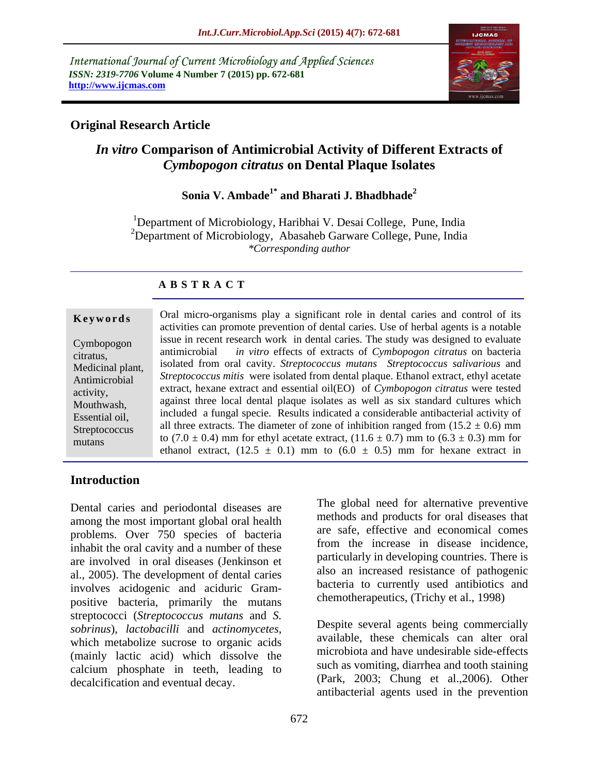International Journal of Current Microbiology and Applied Sciences *ISSN: 2319-7706* **Volume 4 Number 7 (2015) pp. 672-681 http://www.ijcmas.com**



## **Original Research Article**

# *In vitro* **Comparison of Antimicrobial Activity of Different Extracts of** *Cymbopogon citratus* **on Dental Plaque Isolates**

## **Sonia V. Ambade1\* and Bharati J. Bhadbhade<sup>2</sup>**

<sup>1</sup>Department of Microbiology, Haribhai V. Desai College, Pune, India  $2D$ epartment of Microbiology, Abasaheb Garware College, Pune, India *\*Corresponding author*

## **A B S T R A C T**

mutans

**Keywords** Oral micro-organisms play a significant role in dental caries and control of its activities can promote prevention of dental caries. Use of herbal agents is a notable issue in recent research work in dental caries. The study was designed to evaluate Cymbopogon antimicrobial *in vitro* effects of extracts of *Cymbopogon citratus* on bacteria citratus, isolated from oral cavity. *Streptococcus mutans Streptococcus salivarious* and Medicinal plant, Antimicrobial *Streptococcus mitis* were isolated from dental plaque. Ethanol extract, ethyl acetate extract, hexane extract and essential oil(EO) of *Cymbopogon citratus* were tested activity, against three local dental plaque isolates as well as six standard cultures which Mouthwash, Essential oil, included a fungal specie. Results indicated a considerable antibacterial activity of Streptococcus all three extracts. The diameter of zone of inhibition ranged from  $(15.2 \pm 0.6)$  mm to (7.0  $\pm$  0.4) mm for ethyl acetate extract, (11.6  $\pm$  0.7) mm to (6.3  $\pm$  0.3) mm for ethanol extract,  $(12.5 \pm 0.1)$  mm to  $(6.0 \pm 0.5)$  mm for hexane extract in

## **Introduction**

Dental caries and periodontal diseases are among the most important global oral health problems. Over 750 species of bacteria inhabit the oral cavity and a number of these are involved in oral diseases (Jenkinson et al., 2005). The development of dental caries involves acidogenic and aciduric Gram positive bacteria, primarily the mutans streptococci (*Streptococcus mutans* and *S. sobrinus*), *lactobacilli* and *actinomycetes*, **Despite** several agents being commercially available, these chemicals can alter oral available, these chemicals can alter oral (mainly lactic acid) which dissolve the calcium phosphate in teeth, leading to decalcification and eventual decay.

The global need for alternative preventive methods and products for oral diseases that are safe, effective and economical comes from the increase in disease incidence, particularly in developing countries. There is also an increased resistance of pathogenic bacteria to currently used antibiotics and chemotherapeutics, (Trichy et al., 1998)

Despite several agents being commercially available, these chemicals can alter oral microbiota and have undesirable side-effects such as vomiting, diarrhea and tooth staining (Park, 2003; Chung et al.,2006). Other antibacterial agents used in the prevention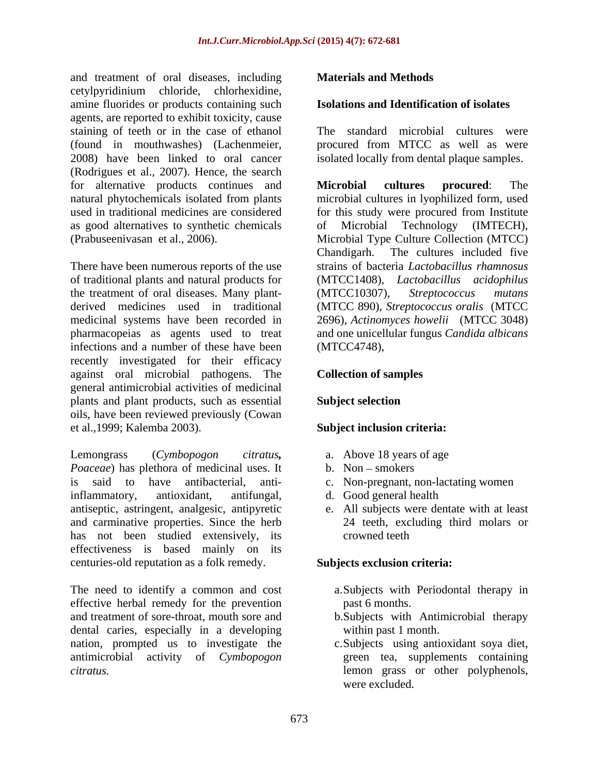and treatment of oral diseases, including cetylpyridinium chloride, chlorhexidine, amine fluorides or products containing such agents, are reported to exhibit toxicity, cause staining of teeth or in the case of ethanol (found in mouthwashes) (Lachenmeier, 2008) have been linked to oral cancer isolated locally from dental plaque samples. (Rodrigues et al., 2007). Hence, the search for alternative products continues and **Microbial cultures procured**: The as good alternatives to synthetic chemicals

There have been numerous reports of the use of traditional plants and natural products for the treatment of oral diseases. Many plant- (MTCC10307), Streptococcus mutans infections and a number of these have been recently investigated for their efficacy against oral microbial pathogens. The general antimicrobial activities of medicinal plants and plant products, such as essential oils, have been reviewed previously (Cowan et al.,1999; Kalemba 2003). and treatment of conditions and distances, including the cases, including the control of original interved and the mathematic modern considered and the specific system and the specific system and the specific system of the

Lemongrass (*Cymbopogon citratus,* a. Above 18 years of age *Poaceae*) has plethora of medicinal uses. It is said to have antibacterial, anti-c. Non-pregnant, non-lactating women inflammatory, antioxidant, antifungal, d. Good general health antiseptic, astringent, analgesic, antipyretic and carminative properties. Since the herb has not been studied extensively, its crowned teeth effectiveness is based mainly on its centuries-old reputation as a folk remedy.

The need to identify a common and cost effective herbal remedy for the prevention basiled passes on passes. and treatment of sore-throat, mouth sore and b.Subjects with Antimicrobial therapy dental caries, especially in a developing nation, prompted us to investigate the antimicrobial activity of *Cymbopogon*  green tea, supplements containing

### **Isolations and Identification of isolates**

The standard microbial cultures were procured from MTCC as well as were

natural phytochemicals isolated from plants microbial cultures in lyophilized form, used used in traditional medicines are considered for this study were procured from Institute (Prabuseenivasan et al., 2006). Microbial Type Culture Collection (MTCC) derived medicines used in traditional (MTCC 890), *Streptococcus oralis* (MTCC medicinal systems have been recorded in 2696), *Actinomyces howelii* (MTCC 3048) pharmacopeias as agents used to treat and one unicellular fungus *Candida albicans*  **Microbial cultures procured**: The Microbial Technology (IMTECH), Chandigarh. The cultures included five strains of bacteria *Lactobacillus rhamnosus* (MTCC1408), *Lactobacillus acidophilus* (MTCC10307), *Streptococcus mutans* (MTCC4748),

### **Collection of samples**

### **Subject selection**

### **Subject inclusion criteria:**

- 
- $b.$  Non smokers
- 
- d. Good general health
- e. All subjects were dentate with at least 24 teeth, excluding third molars or crowned teeth

### **Subjects exclusion criteria:**

- a.Subjects with Periodontal therapy in past 6 months.
- within past 1 month.
- c.Subjects using antioxidant soya diet, lemon grass or other polyphenols, were excluded.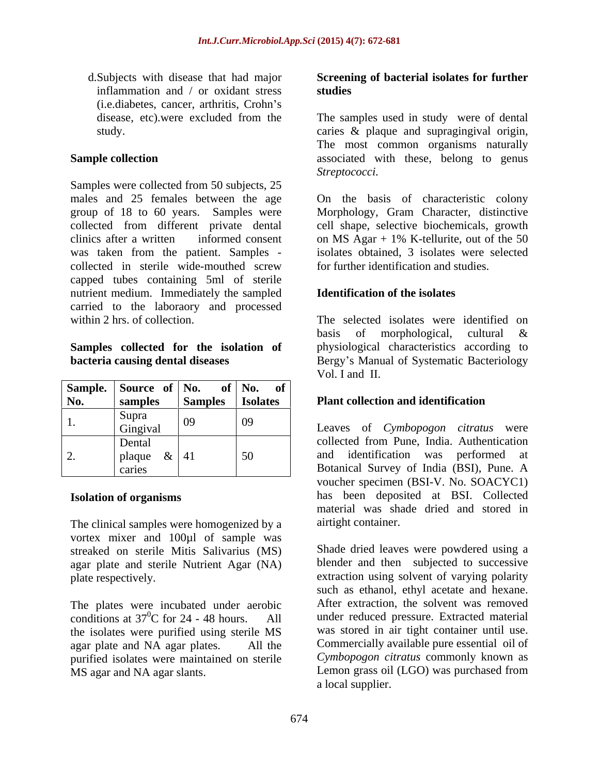inflammation and / or oxidant stress studies (*i.e.diabetes, cancer, arthritis, Crohn's* 

Samples were collected from 50 subjects, 25 males and 25 females between the age On the basis of characteristic colony group of 18 to 60 years. Samples were Morphology, Gram Character, distinctive collected from different private dental cell shape, selective biochemicals, growth clinics after a written informed consent on MS Agar +  $1\%$  K-tellurite, out of the 50 was taken from the patient. Samples collected in sterile wide-mouthed screw capped tubes containing 5ml of sterile nutrient medium. Immediately the sampled carried to the laboraory and processed

|     | Sample. Source of No.                |                | of   No. of     |                                                                                                                                  |
|-----|--------------------------------------|----------------|-----------------|----------------------------------------------------------------------------------------------------------------------------------|
| No. | samples                              | <b>Samples</b> | <b>Isolates</b> | <b>Plant collection and identification</b>                                                                                       |
| ı.  | Supra<br>Gingival                    | $\sqrt{09}$    | 09              | Leaves of Cymbopogon citratus were                                                                                               |
|     | Dental<br>plaque $\&$   41<br>caries |                |                 | collected from Pune, India. Authentication<br>identification was performed at<br>and<br>Botanical Survey of India (BSI), Pune. A |

The clinical samples were homogenized by a vortex mixer and 100µl of sample was streaked on sterile Mitis Salivarius (MS) agar plate and sterile Nutrient Agar (NA)

conditions at  $37^{\circ}$ C for 24 - 48 hours. All the isolates were purified using sterile MS purified isolates were maintained on sterile

### d.Subjects with disease that had major **Screening of bacterial isolates for further studies**

disease, etc).were excluded from the The samples used in study were of dental study. caries & plaque and supragingival origin, **Sample collection** The most common organisms naturally

*Streptococci*. On the basis of characteristic colony on MS Agar + 1% K-tellurite, out of the 50 isolates obtained, 3 isolates were selected for further identification and studies.

### **Identification of the isolates**

within 2 hrs. of collection. The selected isolates were identified on **Samples collected for the isolation of** physiological characteristics according to **bacteria causing dental diseases** Bergy's Manual of Systematic Bacteriology basis of morphological, cultural & Vol. I and II.

Dental **Collected from Pune**, India. Authentication plaque  $\&$  | 41 | 50 | and identification was performed at caries Botanical Survey of India (BSI), Pune. A **Isolation of organisms** has been deposited at BSI. Collected voucher specimen (BSI-V. No. SOACYC1) material was shade dried and stored in airtight container.

plate respectively. extraction using solvent of varying polarity The plates were incubated under aerobic After extraction, the solvent was removed  ${}^{0}C$  for 24 - 48 hours. All under reduced pressure. Extracted material agar plate and NA agar plates. All the Commercially available pure essential oil of MS agar and NA agar slants. Lemon grass oil (LGO) was purchased from Shade dried leaves were powdered using a blender and then subjected to successive such as ethanol, ethyl acetate and hexane. After extraction, the solvent was removed was stored in air tight container until use. *Cymbopogon citratus* commonly known as a local supplier.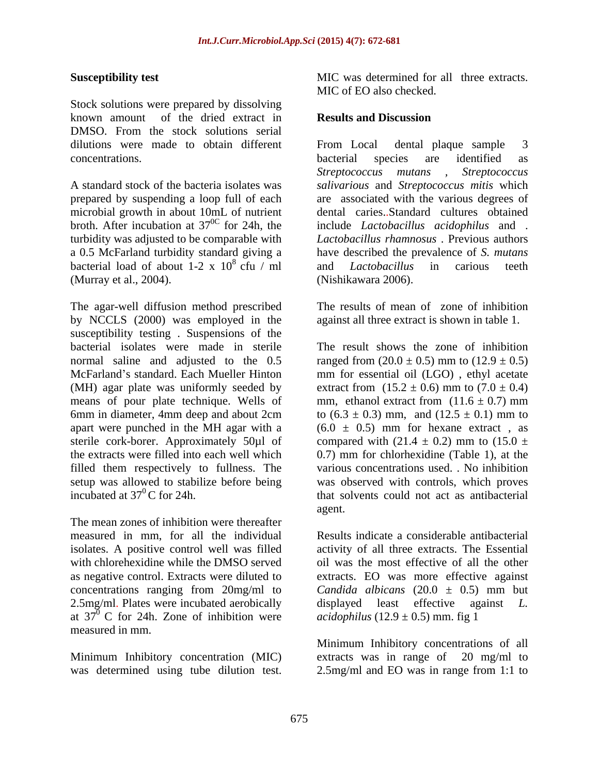Stock solutions were prepared by dissolving known amount of the dried extract in **Results and Discussion** DMSO. From the stock solutions serial dilutions were made to obtain different From Local dental plaque sample 3

microbial growth in about 10mL of nutrient<br>broth. After incubation at  $37^{\circ}$  for 24h, the bacterial load of about  $1-2 \times 10^8$  cfu / ml and *Lactobacillus* in carious teeth (Murray et al., 2004).

The agar-well diffusion method prescribed by NCCLS (2000) was employed in the susceptibility testing . Suspensions of the bacterial isolates were made in sterile The result shows the zone of inhibition means of pour plate technique. Wells of setup was allowed to stabilize before being<br>incubated at  $37^0$ C for 24h. Sonceptibility test<br>
Stock solutions were presented by dissolving<br>
MIC of EO also checked.<br>
Stock solutions were presented by dissolving<br>
Stock solutions (Figure 1.6 and the state of the state of the bacteria in<br>
distock

The mean zones of inhibition were thereafter measured in mm, for all the individual as negative control. Extracts were diluted to 2.5mg/ml. Plates were incubated aerobically a displayed least effective against L. measured in mm.

Minimum Inhibitory concentration (MIC) extracts was in range of 20 mg/ml to

**Susceptibility test** MIC was determined for all three extracts.

### **Results and Discussion**

concentrations. bacterial species are identified as A standard stock of the bacteria isolates was *salivarious* and *Streptococcus mitis* which prepared by suspending a loop full of each are associated with the various degrees of broth. After incubation at 37 0C for 24h, the include *Lactobacillus acidophilus* and . turbidity was adjusted to be comparable with *Lactobacillus rhamnosus* . Previous authors a 0.5 McFarland turbidity standard giving a have described the prevalence of *S. mutans*  $8 \text{ cfu}$  / ml and *Lactobacillus* in carious teeth From Local dental plaque sample 3 bacterial species are identified as *Streptococcus mutans , Streptococcus* dental caries..Standard cultures obtained and *Lactobacillus* in carious teeth (Nishikawara 2006).

> The results of mean of zone of inhibition against all three extract is shown in table 1.

normal saline and adjusted to the  $0.5$  ranged from  $(20.0 \pm 0.5)$  mm to  $(12.9 \pm 0.5)$ McFarland's standard. Each Mueller Hinton mm for essential oil (LGO), ethyl acetate (MH) agar plate was uniformly seeded by extract from  $(15.2 \pm 0.6)$  mm to  $(7.0 \pm 0.4)$ 6mm in diameter, 4mm deep and about 2cm to  $(6.3 \pm 0.3)$  mm, and  $(12.5 \pm 0.1)$  mm to apart were punched in the MH agar with a  $(6.0 \pm 0.5)$  mm for hexane extract, as sterile cork-borer. Approximately 50 $\mu$ l of compared with (21.4  $\pm$  0.2) mm to (15.0  $\pm$ the extracts were filled into each well which 0.7) mm for chlorhexidine (Table 1), at the filled them respectively to fullness. The various concentrations used. . No inhibition incubated at  $37^0$ C for 24h. 
that solvents could not act as antibacterial mm, ethanol extract from  $(11.6 \pm 0.7)$  mm was observed with controls, which proves agent.

isolates. A positive control well was filled activity of all three extracts. The Essential with chlorehexidine while the DMSO served oil was the most effective of all the other concentrations ranging from 20mg/ml to *Candida albicans* (20.0 ± 0.5) mm but at 37<sup>0</sup> C for 24h. Zone of inhibition were *acidophilus* (12.9  $\pm$  0.5) mm. fig 1 Results indicate a considerable antibacterial extracts. EO was more effective against displayed least effective against *L. acidophilus*  $(12.9 \pm 0.5)$  mm. fig 1

> Minimum Inhibitory concentrations of all extracts was in range of 20 mg/ml to 2.5mg/ml and EO was in range from 1:1 to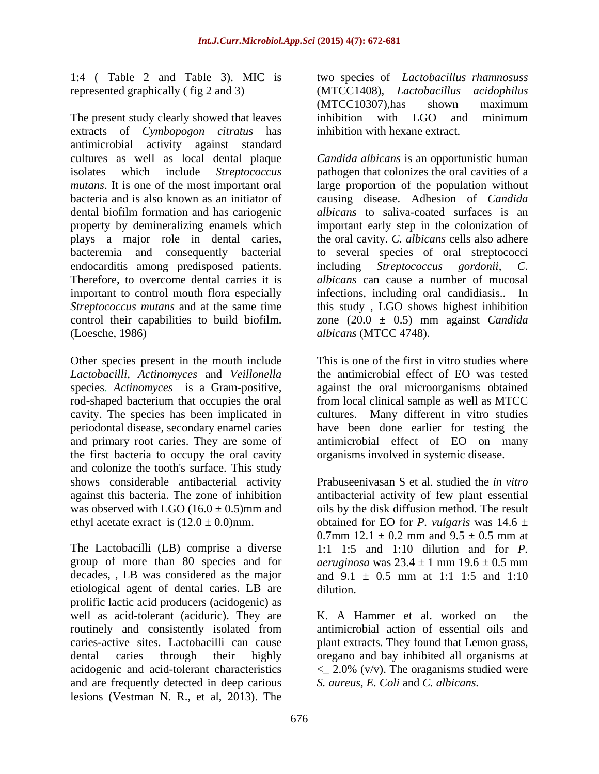1:4 (Table 2 and Table 3). MIC is two species of *Lactobacillus rhamnosuss* represented graphically (fig 2 and 3) (MTCC1408), *Lactobacillus acidophilus* 

The present study clearly showed that leaves inhibition with LGO and minimum extracts of *Cymbopogon citratus* has antimicrobial activity against standard cultures as well as local dental plaque *Candida albicans* is an opportunistic human isolates which include *Streptococcus*  pathogen that colonizes the oral cavities of a *mutans*. It is one of the most important oral bacteria and is also known as an initiator of dental biofilm formation and has cariogenic property by demineralizing enamels which important early step in the colonization of plays a major role in dental caries, the oral cavity. *C. albicans* cells also adhere bacteremia and consequently bacterial to several species of oral streptococci endocarditis among predisposed patients. including Streptococcus gordonii, C. Therefore, to overcome dental carries it is albicans can cause a number of mucosal important to control mouth flora especially infections, including oral candidiasis.. In *Streptococcus mutans* and at the same time this study , LGO shows highest inhibition control their capabilities to build biofilm. zone (20.0 ± 0.5) mm against *Candida*

Other species present in the mouth include *Lactobacilli*, *Actinomyces* and *Veillonella* the antimicrobial effect of EO was tested species. Actinomyces is a Gram-positive, against the oral microorganisms obtained the first bacteria to occupy the oral cavity and colonize the tooth's surface. This study

The Lactobacilli (LB) comprise a diverse group of more than 80 species and for *aeruginosa* was  $23.4 \pm 1$  mm  $19.6 \pm 0.5$  mm decades, , LB was considered as the major and  $9.1 \pm 0.5$  mm at 1:1 1:5 and 1:10 etiological agent of dental caries. LB are prolific lactic acid producers (acidogenic) as well as acid-tolerant (aciduric). They are K. A Hammer et al. worked on the routinely and consistently isolated from caries-active sites. Lactobacilli can cause plant extracts. They found that Lemon grass, dental caries through their highly oregano and bay inhibited all organisms at acidogenic and acid-tolerant characteristics <\_ 2.0% (v/v). The oraganisms studied were and are frequently detected in deep carious lesions (Vestman N. R., et al, 2013). The

two species of *Lactobacillus rhamnosuss*<br>(MTCC1408), *Lactobacillus acidophilus*<br>(MTCC10307),has shown maximum inhibition with LGO and minimum inhibition with hexane extract.

(Loesche, 1986) *albicans* (MTCC 4748). large proportion of the population without causing disease. Adhesion of *Candida albicans* to saliva-coated surfaces is an  $i$ including *Streptococcus* 

species. *Actinomyces* is a Gram-positive, against the oral microorganisms obtained rod-shaped bacterium that occupies the oral from local clinical sample as well as MTCC cavity. The species has been implicated in cultures. Many different in vitro studies periodontal disease, secondary enamel caries have been done earlier for testing the and primary root caries. They are some of antimicrobial effect of EO on many This is one of the first in vitro studies where the antimicrobial effect of EO was tested against the oral microorganisms obtained from local clinical sample as well as MTCC organisms involved in systemic disease.

shows considerable antibacterial activity Prabuseenivasan S et al. studied the *in vitro* against this bacteria. The zone of inhibition antibacterial activity of few plant essential was observed with LGO  $(16.0 \pm 0.5)$ mm and oils by the disk diffusion method. The result ethyl acetate exract is  $(12.0 \pm 0.0)$ mm. botained for EO for *P. vulgaris* was  $14.6 \pm 1.0$ 0.7mm  $12.1 \pm 0.2$  mm and  $9.5 \pm 0.5$  mm at 1:1 1:5 and 1:10 dilution and for *P.*  and  $9.1 \pm 0.5$  mm at 1:1 1:5 and 1:10 dilution.

> K. A Hammer et al. worked on the antimicrobial action of essential oils and *S. aureus, E. Coli* and *C. albicans.*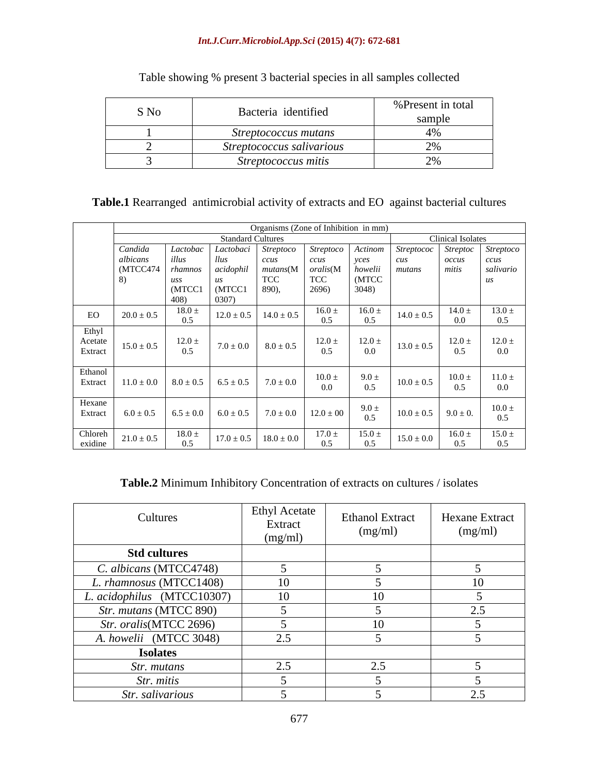## *Int.J.Curr.Microbiol.App.Sci* **(2015) 4(7): 672-681**

| S No | Bacteria identified       | % Present in total                |
|------|---------------------------|-----------------------------------|
|      |                           |                                   |
|      | Streptococcus mutans      | $\tau$ / $\sigma$                 |
|      | Streptococcus salivarious | $\sim$ /0                         |
|      | Streptococcus mitis       | $\sim$ $\sim$ $\sim$<br>$\sim$ /0 |

Table showing % present 3 bacterial species in all samples collected

|         | Organisms (Zone of Inhibition in mm) |                    |                                                                            |                             |                                                                                                                                                                                                                                                                                                                              |                |                     |                   |                                                                                                                                                                                                                                                                                              |
|---------|--------------------------------------|--------------------|----------------------------------------------------------------------------|-----------------------------|------------------------------------------------------------------------------------------------------------------------------------------------------------------------------------------------------------------------------------------------------------------------------------------------------------------------------|----------------|---------------------|-------------------|----------------------------------------------------------------------------------------------------------------------------------------------------------------------------------------------------------------------------------------------------------------------------------------------|
|         |                                      |                    | tandard Cultures                                                           |                             |                                                                                                                                                                                                                                                                                                                              |                |                     | Clinical Isolates |                                                                                                                                                                                                                                                                                              |
|         | Candida                              | Lactobac           | Lactobaci                                                                  | <i>Streptoco</i>            | <i>Streptoco</i>                                                                                                                                                                                                                                                                                                             | Actinom        | Streptococ Streptoc |                   | <i>Streptoce</i>                                                                                                                                                                                                                                                                             |
|         | albicans                             | uu.                |                                                                            |                             |                                                                                                                                                                                                                                                                                                                              | yces           |                     | occus             | ccus                                                                                                                                                                                                                                                                                         |
|         | (MTCC474)                            | rhamnos            | $acidophil$ mutans(M $oralis(M)$                                           |                             |                                                                                                                                                                                                                                                                                                                              | howelii        | mutans              | mitis             | salivario                                                                                                                                                                                                                                                                                    |
|         |                                      | uss                |                                                                            | 100                         | 1CC                                                                                                                                                                                                                                                                                                                          | (MTCC          |                     |                   |                                                                                                                                                                                                                                                                                              |
|         |                                      | (MTCC1             | (MTCC1                                                                     | 890),                       | 2696)                                                                                                                                                                                                                                                                                                                        | 3048)          |                     |                   |                                                                                                                                                                                                                                                                                              |
|         |                                      | -408)              |                                                                            |                             |                                                                                                                                                                                                                                                                                                                              |                |                     |                   |                                                                                                                                                                                                                                                                                              |
|         |                                      | $\frac{18.0}{0.5}$ |                                                                            |                             | $\begin{array}{c c} 16.0 & \pm \\ 0 & 5 \end{array}$                                                                                                                                                                                                                                                                         | $16.0 \pm 0.5$ |                     |                   | $13.0 \pm$                                                                                                                                                                                                                                                                                   |
| $E_O$   | $20.0 \pm 0.5$                       |                    | $12.0 \pm 0.5$ 14.0 $\pm$ 0.5                                              |                             |                                                                                                                                                                                                                                                                                                                              |                | $14.0 \pm 0.5$      | $14.0 \pm 0.0$    |                                                                                                                                                                                                                                                                                              |
| Ethyl   |                                      |                    |                                                                            |                             |                                                                                                                                                                                                                                                                                                                              |                |                     |                   |                                                                                                                                                                                                                                                                                              |
| Acetate |                                      | $12.0 \pm$         |                                                                            |                             |                                                                                                                                                                                                                                                                                                                              |                |                     |                   | 12.0 $\pm$                                                                                                                                                                                                                                                                                   |
| Extract | $15.0 \pm 0.5$                       | 0.5                |                                                                            | $7.0 \pm 0.0$ $8.0 \pm 0.5$ | $12.0 \pm 0.5$                                                                                                                                                                                                                                                                                                               | $12.0 \pm 0.0$ | $13.0 \pm 0.5$      | $12.0 \pm 0.5$    | 0.0                                                                                                                                                                                                                                                                                          |
|         |                                      |                    |                                                                            |                             |                                                                                                                                                                                                                                                                                                                              |                |                     |                   |                                                                                                                                                                                                                                                                                              |
| Ethanol |                                      |                    |                                                                            |                             |                                                                                                                                                                                                                                                                                                                              |                |                     |                   |                                                                                                                                                                                                                                                                                              |
| Extract |                                      |                    | $11.0 \pm 0.0$ $8.0 \pm 0.5$ $6.5 \pm 0.5$ $7.0 \pm 0.0$                   |                             | $\begin{array}{c} 10.0 \pm 0.0 \end{array}$                                                                                                                                                                                                                                                                                  | $9.0 \pm 0.5$  | $10.0 \pm 0.5$      | $10.0 \pm 0.5$    | $11.0 \ \pm$                                                                                                                                                                                                                                                                                 |
|         |                                      |                    |                                                                            |                             |                                                                                                                                                                                                                                                                                                                              |                |                     |                   | 0.0                                                                                                                                                                                                                                                                                          |
| Hexane  |                                      |                    |                                                                            |                             |                                                                                                                                                                                                                                                                                                                              |                |                     |                   |                                                                                                                                                                                                                                                                                              |
|         |                                      |                    |                                                                            |                             |                                                                                                                                                                                                                                                                                                                              |                |                     |                   | $10.0 \pm$                                                                                                                                                                                                                                                                                   |
|         |                                      |                    |                                                                            |                             |                                                                                                                                                                                                                                                                                                                              |                |                     |                   |                                                                                                                                                                                                                                                                                              |
| Chloreh |                                      |                    |                                                                            |                             |                                                                                                                                                                                                                                                                                                                              |                |                     |                   |                                                                                                                                                                                                                                                                                              |
| exidine | $21.0 \pm 0.5$                       | 0.5                | $\begin{array}{c c} 18.0 \pm \\ 0.5 \end{array}$   17.0 ± 0.5   18.0 ± 0.0 |                             | $\left[10.0 + \frac{17.0 \pm}{17.0 \pm} + \frac{15.0 \pm}{0.5} + \frac{15.0 \pm 0.0}{15.0 \pm 0.0} + \frac{16.0}{15.0 \pm 0.0} + \frac{16.0}{15.0 \pm 0.0} + \frac{16.0}{15.0 \pm 0.0} + \frac{16.0}{15.0 \pm 0.0} + \frac{16.0}{15.0 \pm 0.0} + \frac{16.0}{15.0 \pm 0.0} + \frac{16.0}{15.0 \pm 0.0} + \frac{16.0}{15.0 \$ | 0.5            |                     |                   | $16.0 \pm 15.0 \pm 15.0 \pm 15.0 \pm 15.0 \pm 15.0 \pm 15.0 \pm 15.0 \pm 15.0 \pm 15.0 \pm 15.0 \pm 15.0 \pm 15.0 \pm 15.0 \pm 15.0 \pm 15.0 \pm 15.0 \pm 15.0 \pm 15.0 \pm 15.0 \pm 15.0 \pm 15.0 \pm 15.0 \pm 15.0 \pm 15.0 \pm 15.0 \pm 15.0 \pm 15.0 \pm 15.0 \pm 15.0 \pm 15.0 \pm 15.$ |
|         |                                      |                    |                                                                            |                             |                                                                                                                                                                                                                                                                                                                              |                |                     |                   |                                                                                                                                                                                                                                                                                              |

## **Table.2** Minimum Inhibitory Concentration of extracts on cultures / isolates

| Cultures                       | <b>Ethyl Acetate</b><br>Extract<br>(mg/ml) | <b>Ethanol Extract</b><br>(mg/ml) | Hexane Extract<br>(mg/ml) |
|--------------------------------|--------------------------------------------|-----------------------------------|---------------------------|
| <b>Std cultures</b>            |                                            |                                   |                           |
| C. albicans (MTCC4748)         |                                            |                                   |                           |
| L. rhamnosus (MTCC1408)        | 10                                         |                                   | 10                        |
| L. acidophilus (MTCC10307)     | 10                                         | 10-                               |                           |
| <i>Str. mutans</i> (MTCC 890)  |                                            |                                   | 2.5                       |
| <i>Str. oralis</i> (MTCC 2696) |                                            | 10                                |                           |
| A. howelii (MTCC 3048)         | 2.5                                        |                                   |                           |
| <b>Isolates</b>                |                                            |                                   |                           |
| <i>Str. mutans</i>             | 2.5                                        | 2.5                               |                           |
| Str. mitis                     |                                            |                                   |                           |
| Str. salivarious               |                                            |                                   | 2.5                       |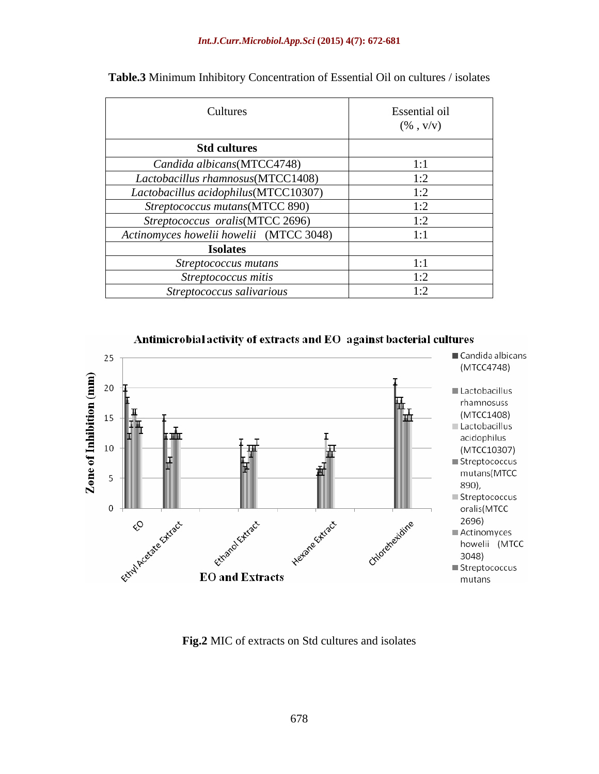### *Int.J.Curr.Microbiol.App.Sci* **(2015) 4(7): 672-681**

| Cultures                                | Essential oil<br>$(\% \; , \; \mathrm{V/V})$ |
|-----------------------------------------|----------------------------------------------|
| <b>Std cultures</b>                     |                                              |
| Candida albicans(MTCC4748)              |                                              |
| Lactobacillus rhamnosus(MTCC1408)       | 1:2                                          |
| Lactobacillus acidophilus(MTCC10307)    | $1 \cdot 2$                                  |
| Streptococcus mutans(MTCC 890)          | 1:2                                          |
| Streptococcus oralis(MTCC 2696)         | 1. $\mathcal \gamma$                         |
| Actinomyces howelii howelii (MTCC 3048) |                                              |
| <b>Isolates</b>                         |                                              |
| Streptococcus mutans                    |                                              |
| Streptococcus mitis                     | $\overline{\phantom{a}}$                     |
| Streptococcus salivarious               |                                              |

| Table.3 Minimum Inhibitory Concentration of Essential Oil on cultures / i<br>/ isolates |
|-----------------------------------------------------------------------------------------|
|-----------------------------------------------------------------------------------------|



Antimicrobial activity of extracts and EO against bacterial cultures

**Fig.2** MIC of extracts on Std cultures and isolates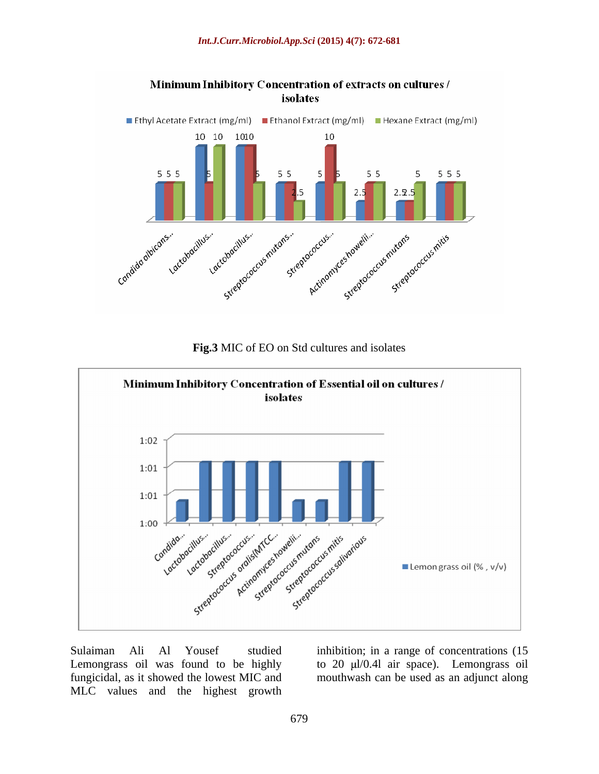

**Fig.3** MIC of EO on Std cultures and isolates



Sulaiman Ali Al Yousef studied inhibition; in a range of concentrations (15 Lemongrass oil was found to be highly to 20 µl/0.4l air space). Lemongrass oil fungicidal, as it showed the lowest MIC and mouthwash can be used as an adjunct alongMLC values and the highest growth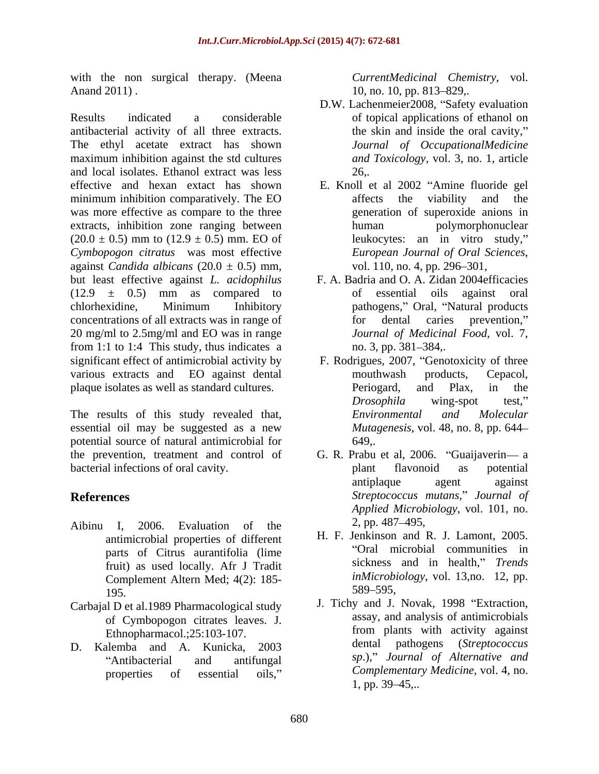with the non surgical therapy. (Meena *CurrentMedicinal Chemistry*, vol. Anand 2011). 10, no. 10, pp. 813–829,.

Results indicated a considerable of topical applications of ethanol on antibacterial activity of all three extracts. The ethyl acetate extract has shown maximum inhibition against the std cultures and local isolates. Ethanol extract was less effective and hexan extact has shown E. Knoll et al 2002 "Amine fluoride gel minimum inhibition comparatively. The EO was more effective as compare to the three extracts, inhibition zone ranging between human bolymorphonuclear  $(20.0 \pm 0.5)$  mm to  $(12.9 \pm 0.5)$  mm. EO of *Cymbopogon citratus* was most effective against *Candida albicans* (20.0 ± 0.5) mm, but least effective against *L. acidophilus* F. A. Badria and O. A. Zidan 2004efficacies  $(12.9 \pm 0.5)$  mm as compared to of essential oils against oral chlorhexidine, Minimum Inhibitory concentrations of all extracts was in range of 20 mg/ml to 2.5mg/ml and EO was in range from 1:1 to 1:4 This study, thus indicates a no. 3, pp. 381–384,. significant effect of antimicrobial activity by various extracts and EO against dental mouthwash products, Cepacol, plaque isolates as well as standard cultures. e not stregical therapy. Oftenta (*Chemistronic Clemisionics*) CorrentMedicinal of erroritoric of estential of estential of estential of estential or the strength of all the extract the strength of the strength of the stre

The results of this study revealed that, *Environmental and Molecular* essential oil may be suggested as a new potential source of natural antimicrobial for the prevention, treatment and control of G. R. Prabu et al, 2006. "Guaijaverin— a bacterial infections of oral cavity.  $\Box$  blant flavonoid as potential

- Aibinu I, 2006. Evaluation of the  $\frac{2}{5}$ , pp. 48/-495, antimicrobial properties of different parts of Citrus aurantifolia (lime fruit) as used locally. Afr J Tradit Complement Altern Med;  $4(2)$ : 185-<br>195–<br>589–595,  $389 - 595$ ,  $389 - 595$ ,
- Carbajal D et al.1989 Pharmacological study
- D. Kalemba and A. Kunicka, 2003

- D.W. Lachenmeier2008, "Safety evaluation the skin and inside the oral cavity, *Journal of OccupationalMedicine and Toxicology*, vol. 3, no. 1, article 26,.
- affects the viability and the generation of superoxide anions in human polymorphonuclear leukocytes: an in vitro study, *European Journal of Oral Sciences*, vol. 110, no. 4, pp. 296 301,
- of essential oils against oral pathogens," Oral, "Natural products for dental caries prevention, *Journal of Medicinal Food*, vol. 7, no. 3, pp. 381–384,.
- F. Rodrigues, 2007, "Genotoxicity of three mouthwash products, Cepacol, Periogard, and Plax, in the *Drosophila* wing-spot test," *Environmental and Molecular Mutagenesis*, vol. 48, no. 8, pp. 644 649,.
- **References** Streptococcus mutans," Journal of plant flavonoid as potential antiplaque agent against *Applied Microbiology*, vol. 101, no. 2, pp. 487 495,
	- H. F. Jenkinson and R. J. Lamont, 2005. Oral microbial communities in sickness and in health," Trends *inMicrobiology*, vol. 13,no. 12, pp. 589–595, metal and a set of the set of the set of the set of the set of the set of the set of the set of the set of the set of the set of the set of the set of the set of the set of the set of the set of the set of the set
	- of Cymbopogon citrates leaves. J. assay, and analysis of antimicrobials<br>Fibropharmacol 25:103-107 from plants with activity against Ethnopharmacol.;25:103-107. Antibacterial and antifungal sp.), Sournal of Alternative and J. Tichy and J. Novak, 1998 Extraction, assay, and analysis of antimicrobials from plants with activity against dental pathogens (*Streptococcus sp*.), *Journal of Alternative and Complementary Medicine*, vol. 4, no.  $1, pp. 39-45...$